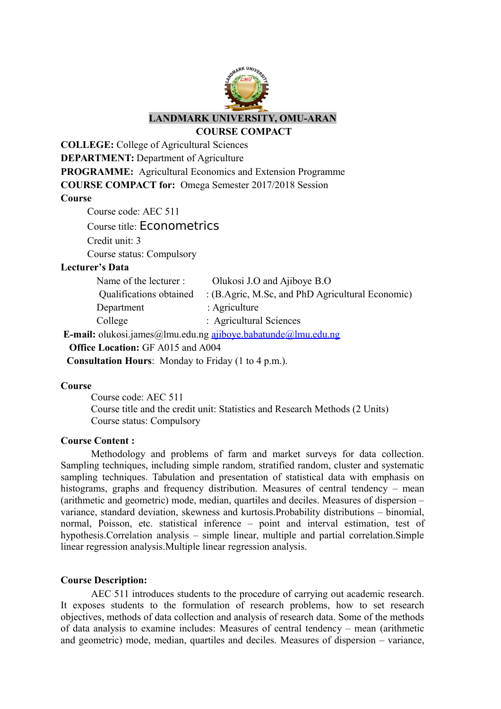

**COURSE COMPACT** 

**COLLEGE:** College of Agricultural Sciences **DEPARTMENT:** Department of Agriculture **PROGRAMME:** Agricultural Economics and Extension Programme **COURSE COMPACT for:** Omega Semester 2017/2018 Session **Course**

Course code: AEC 511

Course title: Econometrics

Credit unit: 3

Course status: Compulsory

## **Lecturer's Data**

| Name of the lecturer :  | Olukosi J.O and Ajiboye B.O                                                         |
|-------------------------|-------------------------------------------------------------------------------------|
| Qualifications obtained | : $(B \text{.Agric}, M \text{.Sc}, \text{and } PhD \text{. Agricultural Economic})$ |
| Department              | : Agriculture                                                                       |
| College                 | : Agricultural Sciences                                                             |

**E-mail:** olukosi.james@lmu.edu.ng [ajiboye.babatunde@lmu.edu.ng](mailto:ajiboye.babatunde@lmu.edu.ng)

**Office Location:** GF A015 and A004

**Consultation Hours**: Monday to Friday (1 to 4 p.m.).

#### **Course**

Course code: AEC 511 Course title and the credit unit: Statistics and Research Methods (2 Units) Course status: Compulsory

## **Course Content :**

Methodology and problems of farm and market surveys for data collection. Sampling techniques, including simple random, stratified random, cluster and systematic sampling techniques. Tabulation and presentation of statistical data with emphasis on histograms, graphs and frequency distribution. Measures of central tendency – mean (arithmetic and geometric) mode, median, quartiles and deciles. Measures of dispersion – variance, standard deviation, skewness and kurtosis.Probability distributions – binomial, normal, Poisson, etc. statistical inference – point and interval estimation, test of hypothesis.Correlation analysis – simple linear, multiple and partial correlation.Simple linear regression analysis.Multiple linear regression analysis.

## **Course Description:**

AEC 511 introduces students to the procedure of carrying out academic research. It exposes students to the formulation of research problems, how to set research objectives, methods of data collection and analysis of research data. Some of the methods of data analysis to examine includes: Measures of central tendency – mean (arithmetic and geometric) mode, median, quartiles and deciles. Measures of dispersion – variance,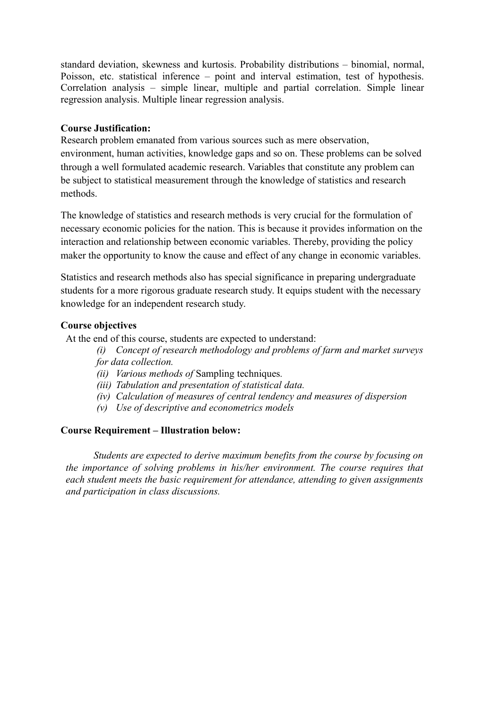standard deviation, skewness and kurtosis. Probability distributions – binomial, normal, Poisson, etc. statistical inference – point and interval estimation, test of hypothesis. Correlation analysis – simple linear, multiple and partial correlation. Simple linear regression analysis. Multiple linear regression analysis.

## **Course Justification:**

Research problem emanated from various sources such as mere observation, environment, human activities, knowledge gaps and so on. These problems can be solved through a well formulated academic research. Variables that constitute any problem can be subject to statistical measurement through the knowledge of statistics and research methods.

The knowledge of statistics and research methods is very crucial for the formulation of necessary economic policies for the nation. This is because it provides information on the interaction and relationship between economic variables. Thereby, providing the policy maker the opportunity to know the cause and effect of any change in economic variables.

Statistics and research methods also has special significance in preparing undergraduate students for a more rigorous graduate research study. It equips student with the necessary knowledge for an independent research study.

## **Course objectives**

At the end of this course, students are expected to understand:

*(i) Concept of research methodology and problems of farm and market surveys for data collection.* 

- *(ii) Various methods of* Sampling techniques*.*
- *(iii) Tabulation and presentation of statistical data.*
- *(iv) Calculation of measures of central tendency and measures of dispersion*
- *(v) Use of descriptive and econometrics models*

## **Course Requirement – Illustration below:**

 *Students are expected to derive maximum benefits from the course by focusing on the importance of solving problems in his/her environment. The course requires that each student meets the basic requirement for attendance, attending to given assignments and participation in class discussions.*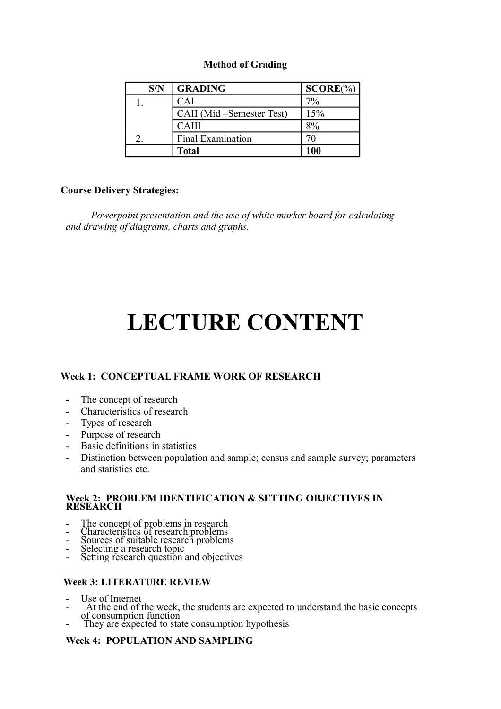## **Method of Grading**

| S/N | <b>GRADING</b>             | $SCORE(\%)$ |
|-----|----------------------------|-------------|
|     | CAI                        | $7\%$       |
|     | CAII (Mid – Semester Test) | 15%         |
|     | CAIII                      |             |
|     | Final Examination          |             |
|     | <b>Total</b>               | 100         |

## **Course Delivery Strategies:**

*Powerpoint presentation and the use of white marker board for calculating and drawing of diagrams, charts and graphs.*

# **LECTURE CONTENT**

# **Week 1: CONCEPTUAL FRAME WORK OF RESEARCH**

- The concept of research
- Characteristics of research
- Types of research
- Purpose of research
- Basic definitions in statistics
- Distinction between population and sample; census and sample survey; parameters and statistics etc.

#### **Week 2: PROBLEM IDENTIFICATION & SETTING OBJECTIVES IN RESEARCH**

- The concept of problems in research
- Characteristics of research problems
- Sources of suitable research problems
- Selecting a research topic
- Setting research question and objectives

## **Week 3: LITERATURE REVIEW**

- Use of Internet
- -At the end of the week, the students are expected to understand the basic concepts of consumption function
- They are expected to state consumption hypothesis

# **Week 4: POPULATION AND SAMPLING**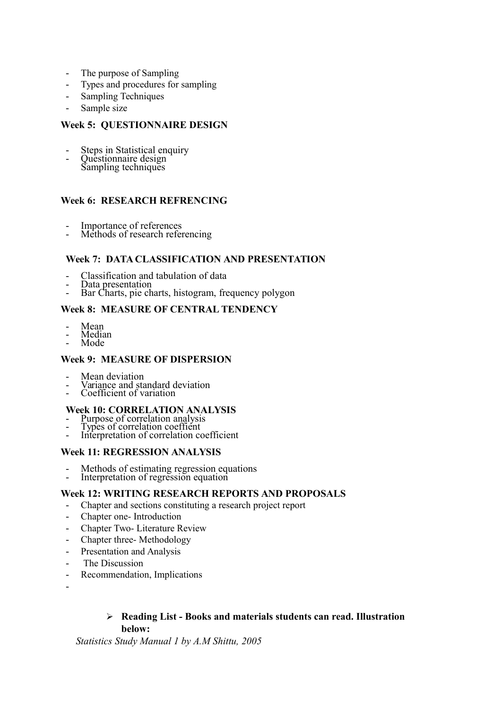- The purpose of Sampling
- Types and procedures for sampling
- Sampling Techniques
- Sample size

### **Week 5: QUESTIONNAIRE DESIGN**

- Steps in Statistical enquiry
- Questionnaire design Sampling techniques
- 

## **Week 6: RESEARCH REFRENCING**

- Importance of references
- Methods of research referencing

#### **Week 7: DATA CLASSIFICATION AND PRESENTATION**

- Classification and tabulation of data
- Data presentation
- Bar Charts, pie charts, histogram, frequency polygon

### **Week 8: MEASURE OF CENTRAL TENDENCY**

- Mean<br>- Media
- Median
- Mode

#### **Week 9: MEASURE OF DISPERSION**

- Mean deviation
- Variance and standard deviation
- Coefficient of variation

#### **Week 10: CORRELATION ANALYSIS**

- Purpose of correlation analysis
- Types of correlation coeffient
- Interpretation of correlation coefficient

#### **Week 11: REGRESSION ANALYSIS**

- Methods of estimating regression equations
- Interpretation of regression equation

### **Week 12: WRITING RESEARCH REPORTS AND PROPOSALS**

- Chapter and sections constituting a research project report
- Chapter one- Introduction
- Chapter Two- Literature Review
- Chapter three- Methodology
- Presentation and Analysis
- The Discussion
- Recommendation, Implications
- -

#### **Reading List - Books and materials students can read. Illustration below:**

*Statistics Study Manual 1 by A.M Shittu, 2005*